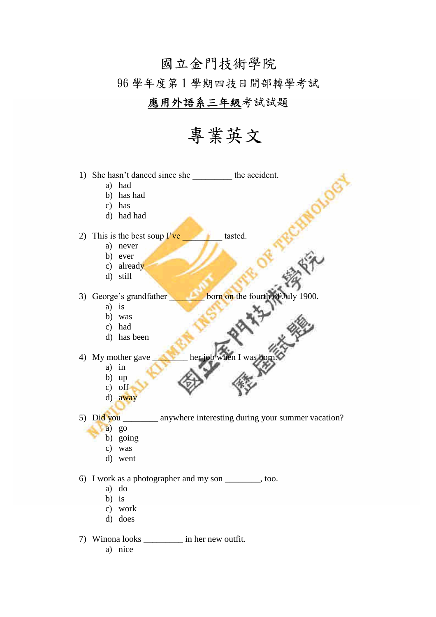## 國立金門技術學院 96學年度第1學期四技日間部轉學考試

### 應用外語系三年級考試試題

## 專業英文

1) She hasn't danced since she the accident.

- a) had
- b) has had
- $c)$  has
- d) had had

2) This is the best soup  $\Gamma$  ve tasted.

- a) never
- b) ever
- c) already
- d) still

3) George's grandfather

- $a)$  is
- b) was
- c) had
- d) has been
- 4) My mother gave
	- $a)$  in
	- $b)$  up
	- $c)$  off
	- d) away
- 5) Did you  $\overline{\phantom{a}}$ \_\_\_\_\_\_\_ anywhere interesting during your summer vacation?

born on the fourth of July 1900.

- $a)$  go
	- b) going
	- c) was
	- d) went

6) I work as a photographer and my son \_\_\_\_\_\_\_\_\_, too.

- a) do
- $b)$  is
- c) work
- d) does
- 7) Winona looks \_\_\_\_\_\_\_\_\_\_ in her new outfit.
	- a) nice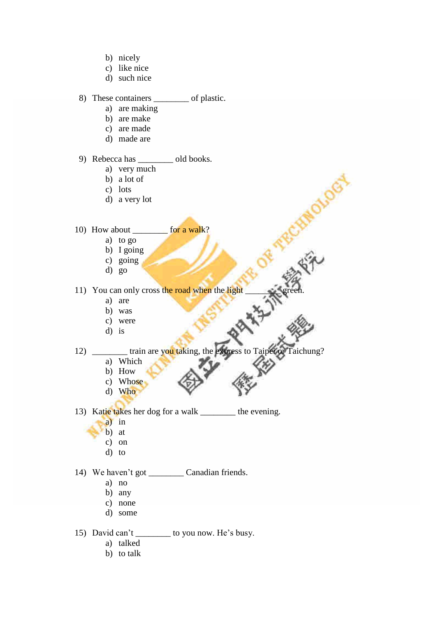- b) nicely
- c) like nice
- d) such nice

#### 8) These containers \_\_\_\_\_\_\_\_ of plastic.

- a) are making
	- b) are make
	- c) are made
	- d) made are

#### 9) Rebecca has \_\_\_\_\_\_\_\_ old books.

- a) very much
- b) a lot of
- c) lots
- d) a very lot

#### 10) How about for a walk?

- a) to go
- b) I going
- c) going
- d) go

11) You can only cross the road when the light

- a) are
- b) was
- c) were
- d) is
- 12) train are you taking, the express to Taipei or Taichung?

RCHINOLU

- a) Which
- b) How
- c) Whose
- d) Who
- 13) Katie takes her dog for a walk \_\_\_\_\_\_\_\_ the evening.
	- a) in
		- b) at
		- c) on
		- d) to

#### 14) We haven't got Canadian friends.

- a) no
- b) any
- c) none
- d) some
- 15) David can't \_\_\_\_\_\_\_\_ to you now. He's busy.
	- a) talked
	- b) to talk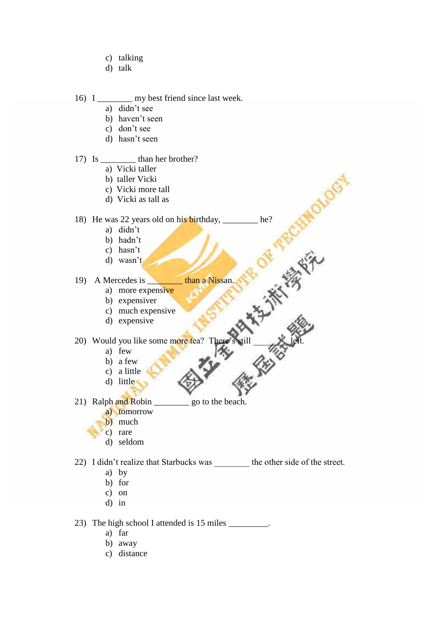- c) talking
- d) talk

16) I my best friend since last week.

- a) didn't see
- b) haven't seen
- c) don't see
- d) hasn't seen

#### 17) Is \_\_\_\_\_\_\_\_ than her brother?

- a) Vicki taller
- b) taller Vicki
- c) Vicki more tall
- d) Vicki as tall as

# 18) He was 22 years old on his birthday, \_\_\_\_\_\_\_\_ he?<br>
a) didn't<br>
b) hadn't<br>
c) hasn't<br>
d) wasn't<br>
10

- a) didn't
- b) hadn't
- c) hasn't
- d) wasn't

#### 19) A Mercedes is **than a Nissan**.

- a) more expensive
	- b) expensiver
	- c) much expensive
	- d) expensive

20) Would you like somemoretea?There'sstill\_\_\_\_\_\_\_\_left.

- a) few
- b) a few
- c) a little
- d) little
- 21) Ralph and Robin \_\_\_\_\_\_\_\_\_ go to the beach.
	- a) tomorrow
	- b) much
	- c) rare
	- d) seldom
- 22) I didn't realize that Starbucks was the other side of the street.
	- a) by
	- b) for
	- c) on
	- d) in

23) The high school I attended is 15 miles \_\_\_\_\_\_\_\_.

- a) far
- b) away
- c) distance